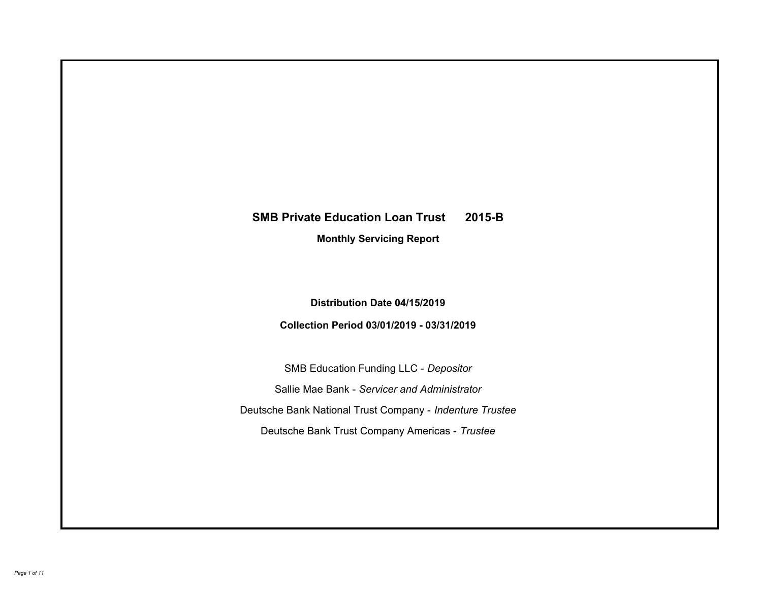# **SMB Private Education Loan Trust 2015-B Monthly Servicing Report**

# **Distribution Date 04/15/2019**

# **Collection Period 03/01/2019 - 03/31/2019**

SMB Education Funding LLC - *Depositor* Sallie Mae Bank - *Servicer and Administrator* Deutsche Bank National Trust Company - *Indenture Trustee* Deutsche Bank Trust Company Americas - *Trustee*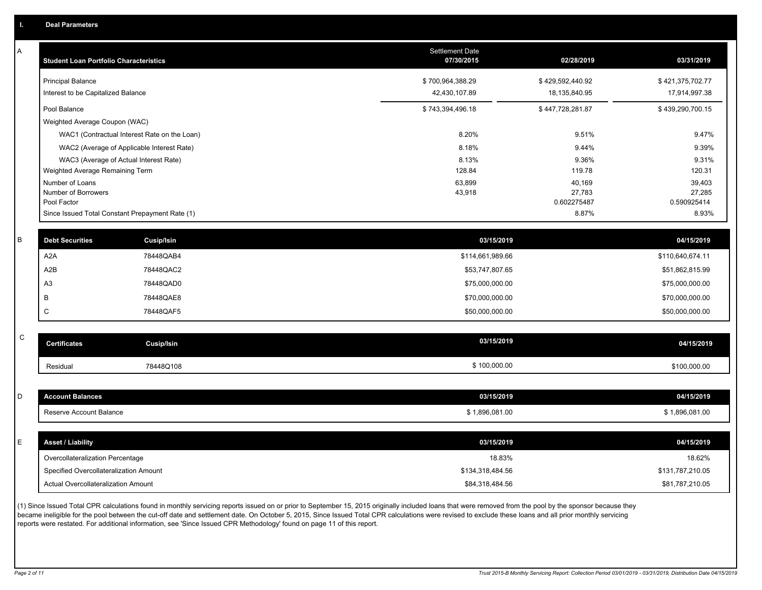| Α           | <b>Student Loan Portfolio Characteristics</b>   |                                              | Settlement Date<br>07/30/2015 | 02/28/2019            | 03/31/2019            |
|-------------|-------------------------------------------------|----------------------------------------------|-------------------------------|-----------------------|-----------------------|
|             | <b>Principal Balance</b>                        |                                              | \$700,964,388.29              | \$429,592,440.92      | \$421,375,702.77      |
|             | Interest to be Capitalized Balance              |                                              | 42,430,107.89                 | 18,135,840.95         | 17,914,997.38         |
|             | Pool Balance                                    |                                              | \$743,394,496.18              | \$447,728,281.87      | \$439,290,700.15      |
|             | Weighted Average Coupon (WAC)                   |                                              |                               |                       |                       |
|             |                                                 | WAC1 (Contractual Interest Rate on the Loan) | 8.20%                         | 9.51%                 | 9.47%                 |
|             |                                                 | WAC2 (Average of Applicable Interest Rate)   | 8.18%                         | 9.44%                 | 9.39%                 |
|             |                                                 | WAC3 (Average of Actual Interest Rate)       | 8.13%                         | 9.36%                 | 9.31%                 |
|             | Weighted Average Remaining Term                 |                                              | 128.84                        | 119.78                | 120.31                |
|             | Number of Loans                                 |                                              | 63,899                        | 40,169                | 39,403                |
|             | Number of Borrowers<br>Pool Factor              |                                              | 43,918                        | 27,783<br>0.602275487 | 27,285<br>0.590925414 |
|             | Since Issued Total Constant Prepayment Rate (1) |                                              |                               | 8.87%                 | 8.93%                 |
|             |                                                 |                                              |                               |                       |                       |
| B           | <b>Debt Securities</b>                          | Cusip/Isin                                   | 03/15/2019                    |                       | 04/15/2019            |
|             | A <sub>2</sub> A                                | 78448QAB4                                    | \$114,661,989.66              |                       | \$110,640,674.11      |
|             | A <sub>2</sub> B                                | 78448QAC2                                    | \$53,747,807.65               |                       | \$51,862,815.99       |
|             | A <sub>3</sub>                                  | 78448QAD0                                    | \$75,000,000.00               |                       | \$75,000,000.00       |
|             | B                                               | 78448QAE8                                    | \$70,000,000.00               |                       | \$70,000,000.00       |
|             | C                                               | 78448QAF5                                    | \$50,000,000.00               |                       | \$50,000,000.00       |
|             |                                                 |                                              |                               |                       |                       |
| $\mathsf C$ | <b>Certificates</b>                             | <b>Cusip/Isin</b>                            | 03/15/2019                    |                       | 04/15/2019            |
|             | Residual                                        | 78448Q108                                    | \$100,000.00                  |                       | \$100,000.00          |
|             |                                                 |                                              |                               |                       |                       |
| D           | <b>Account Balances</b>                         |                                              | 03/15/2019                    |                       | 04/15/2019            |
|             | Reserve Account Balance                         |                                              | \$1,896,081.00                |                       | \$1,896,081.00        |
|             |                                                 |                                              |                               |                       |                       |
| E           | <b>Asset / Liability</b>                        |                                              | 03/15/2019                    |                       | 04/15/2019            |
|             | Overcollateralization Percentage                |                                              | 18.83%                        |                       | 18.62%                |
|             | Specified Overcollateralization Amount          |                                              | \$134,318,484.56              |                       | \$131,787,210.05      |
|             | Actual Overcollateralization Amount             |                                              | \$84,318,484.56               |                       | \$81,787,210.05       |
|             |                                                 |                                              |                               |                       |                       |

(1) Since Issued Total CPR calculations found in monthly servicing reports issued on or prior to September 15, 2015 originally included loans that were removed from the pool by the sponsor because they became ineligible for the pool between the cut-off date and settlement date. On October 5, 2015, Since Issued Total CPR calculations were revised to exclude these loans and all prior monthly servicing reports were restated. For additional information, see 'Since Issued CPR Methodology' found on page 11 of this report.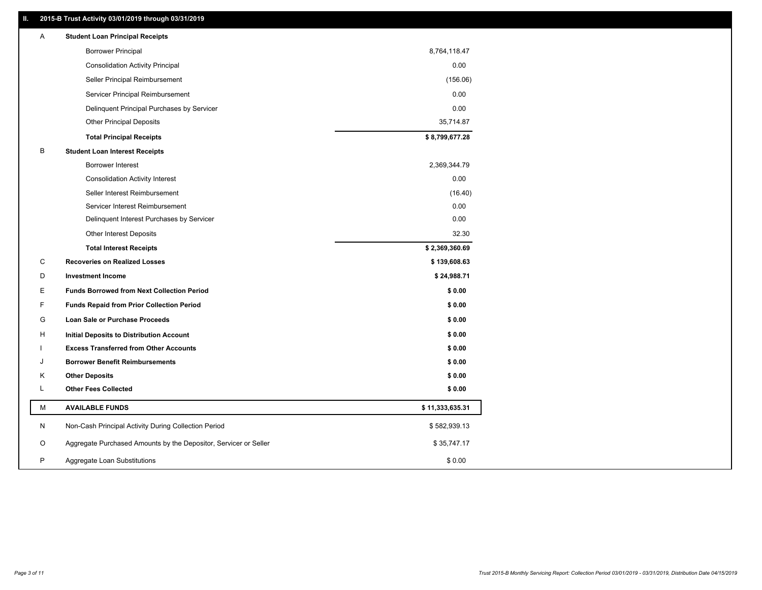## **II. 2015-B Trust Activity 03/01/2019 through 03/31/2019**

| <b>Borrower Principal</b><br>8,764,118.47<br>0.00<br><b>Consolidation Activity Principal</b><br>Seller Principal Reimbursement<br>(156.06)<br>0.00<br>Servicer Principal Reimbursement<br>Delinquent Principal Purchases by Servicer<br>0.00<br><b>Other Principal Deposits</b><br>35,714.87<br>\$8,799,677.28<br><b>Total Principal Receipts</b><br>В<br><b>Student Loan Interest Receipts</b> |  |
|-------------------------------------------------------------------------------------------------------------------------------------------------------------------------------------------------------------------------------------------------------------------------------------------------------------------------------------------------------------------------------------------------|--|
|                                                                                                                                                                                                                                                                                                                                                                                                 |  |
|                                                                                                                                                                                                                                                                                                                                                                                                 |  |
|                                                                                                                                                                                                                                                                                                                                                                                                 |  |
|                                                                                                                                                                                                                                                                                                                                                                                                 |  |
|                                                                                                                                                                                                                                                                                                                                                                                                 |  |
|                                                                                                                                                                                                                                                                                                                                                                                                 |  |
|                                                                                                                                                                                                                                                                                                                                                                                                 |  |
|                                                                                                                                                                                                                                                                                                                                                                                                 |  |
| <b>Borrower Interest</b><br>2,369,344.79                                                                                                                                                                                                                                                                                                                                                        |  |
| 0.00<br><b>Consolidation Activity Interest</b>                                                                                                                                                                                                                                                                                                                                                  |  |
| Seller Interest Reimbursement<br>(16.40)                                                                                                                                                                                                                                                                                                                                                        |  |
| Servicer Interest Reimbursement<br>0.00                                                                                                                                                                                                                                                                                                                                                         |  |
| 0.00<br>Delinquent Interest Purchases by Servicer                                                                                                                                                                                                                                                                                                                                               |  |
| 32.30<br>Other Interest Deposits                                                                                                                                                                                                                                                                                                                                                                |  |
| \$2,369,360.69<br><b>Total Interest Receipts</b>                                                                                                                                                                                                                                                                                                                                                |  |
| C<br><b>Recoveries on Realized Losses</b><br>\$139,608.63                                                                                                                                                                                                                                                                                                                                       |  |
| D<br><b>Investment Income</b><br>\$24,988.71                                                                                                                                                                                                                                                                                                                                                    |  |
| Е<br><b>Funds Borrowed from Next Collection Period</b><br>\$0.00                                                                                                                                                                                                                                                                                                                                |  |
| F<br>\$0.00<br><b>Funds Repaid from Prior Collection Period</b>                                                                                                                                                                                                                                                                                                                                 |  |
| G<br>\$0.00<br>Loan Sale or Purchase Proceeds                                                                                                                                                                                                                                                                                                                                                   |  |
| \$0.00<br>н<br>Initial Deposits to Distribution Account                                                                                                                                                                                                                                                                                                                                         |  |
| \$0.00<br><b>Excess Transferred from Other Accounts</b>                                                                                                                                                                                                                                                                                                                                         |  |
| \$0.00<br><b>Borrower Benefit Reimbursements</b><br>J                                                                                                                                                                                                                                                                                                                                           |  |
| <b>Other Deposits</b><br>\$0.00<br>Κ                                                                                                                                                                                                                                                                                                                                                            |  |
| L<br><b>Other Fees Collected</b><br>\$0.00                                                                                                                                                                                                                                                                                                                                                      |  |
| М<br><b>AVAILABLE FUNDS</b><br>\$11,333,635.31                                                                                                                                                                                                                                                                                                                                                  |  |
| N<br>Non-Cash Principal Activity During Collection Period<br>\$582,939.13                                                                                                                                                                                                                                                                                                                       |  |
| O<br>Aggregate Purchased Amounts by the Depositor, Servicer or Seller<br>\$35,747.17                                                                                                                                                                                                                                                                                                            |  |
| P<br>\$0.00<br>Aggregate Loan Substitutions                                                                                                                                                                                                                                                                                                                                                     |  |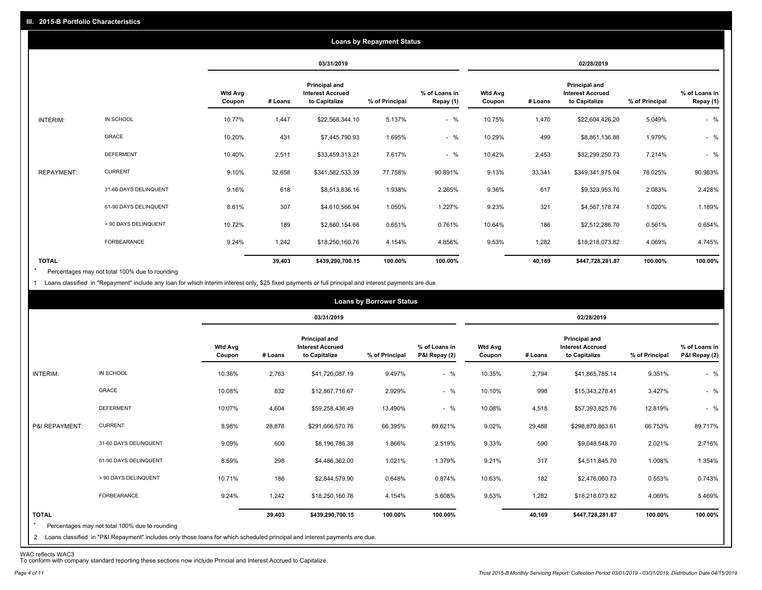|                   |                       |                          |         |                                                                  | <b>Loans by Repayment Status</b> |                            |                          |         |                                                           |                |                            |
|-------------------|-----------------------|--------------------------|---------|------------------------------------------------------------------|----------------------------------|----------------------------|--------------------------|---------|-----------------------------------------------------------|----------------|----------------------------|
|                   |                       |                          |         | 03/31/2019                                                       |                                  |                            |                          |         | 02/28/2019                                                |                |                            |
|                   |                       | <b>Wtd Avg</b><br>Coupon | # Loans | <b>Principal and</b><br><b>Interest Accrued</b><br>to Capitalize | % of Principal                   | % of Loans in<br>Repay (1) | <b>Wtd Avg</b><br>Coupon | # Loans | Principal and<br><b>Interest Accrued</b><br>to Capitalize | % of Principal | % of Loans in<br>Repay (1) |
| INTERIM:          | IN SCHOOL             | 10.77%                   | 1,447   | \$22,568,344.10                                                  | 5.137%                           | $-$ %                      | 10.75%                   | 1,470   | \$22,604,426.20                                           | 5.049%         | $-$ %                      |
|                   | <b>GRACE</b>          | 10.20%                   | 431     | \$7,445,790.93                                                   | 1.695%                           | $-$ %                      | 10.29%                   | 499     | \$8,861,136.88                                            | 1.979%         | $-$ %                      |
|                   | <b>DEFERMENT</b>      | 10.40%                   | 2,511   | \$33,459,313.21                                                  | 7.617%                           | $-$ %                      | 10.42%                   | 2,453   | \$32,299,250.73                                           | 7.214%         | $-$ %                      |
| <b>REPAYMENT:</b> | <b>CURRENT</b>        | 9.10%                    | 32,658  | \$341,582,533.39                                                 | 77.758%                          | 90.891%                    | 9.13%                    | 33,341  | \$349,341,975.04                                          | 78.025%        | 90.983%                    |
|                   | 31-60 DAYS DELINQUENT | 9.16%                    | 618     | \$8,513,836.16                                                   | 1.938%                           | 2.265%                     | 9.36%                    | 617     | \$9,323,953.76                                            | 2.083%         | 2.428%                     |
|                   | 61-90 DAYS DELINQUENT | 8.61%                    | 307     | \$4,610,566.94                                                   | 1.050%                           | 1.227%                     | 9.23%                    | 321     | \$4,567,178.74                                            | 1.020%         | 1.189%                     |
|                   | > 90 DAYS DELINQUENT  | 10.72%                   | 189     | \$2,860,154.66                                                   | 0.651%                           | 0.761%                     | 10.64%                   | 186     | \$2,512,286.70                                            | 0.561%         | 0.654%                     |
|                   | FORBEARANCE           | 9.24%                    | 1,242   | \$18,250,160.76                                                  | 4.154%                           | 4.856%                     | 9.53%                    | 1,282   | \$18,218,073.82                                           | 4.069%         | 4.745%                     |
| <b>TOTAL</b>      |                       |                          | 39,403  | \$439,290,700.15                                                 | 100.00%                          | 100.00%                    |                          | 40,169  | \$447,728,281.87                                          | 100.00%        | 100.00%                    |

Percentages may not total 100% due to rounding  $\star$ 

1 Loans classified in "Repayment" include any loan for which interim interest only, \$25 fixed payments or full principal and interest payments are due.

|                         |                                                                                                                                                                                |                          |         |                                                                  | <b>Loans by Borrower Status</b> |                                |                          |         |                                                                  |                |                                |
|-------------------------|--------------------------------------------------------------------------------------------------------------------------------------------------------------------------------|--------------------------|---------|------------------------------------------------------------------|---------------------------------|--------------------------------|--------------------------|---------|------------------------------------------------------------------|----------------|--------------------------------|
|                         |                                                                                                                                                                                |                          |         | 03/31/2019                                                       |                                 |                                |                          |         | 02/28/2019                                                       |                |                                |
|                         |                                                                                                                                                                                | <b>Wtd Avg</b><br>Coupon | # Loans | <b>Principal and</b><br><b>Interest Accrued</b><br>to Capitalize | % of Principal                  | % of Loans in<br>P&I Repay (2) | <b>Wtd Avg</b><br>Coupon | # Loans | <b>Principal and</b><br><b>Interest Accrued</b><br>to Capitalize | % of Principal | % of Loans in<br>P&I Repay (2) |
| INTERIM:                | IN SCHOOL                                                                                                                                                                      | 10.36%                   | 2,763   | \$41,720,087.19                                                  | 9.497%                          | $-$ %                          | 10.35%                   | 2,794   | \$41,865,785.14                                                  | 9.351%         | $-$ %                          |
|                         | GRACE                                                                                                                                                                          | 10.08%                   | 832     | \$12,867,716.67                                                  | 2.929%                          | $-$ %                          | 10.10%                   | 998     | \$15,343,278.41                                                  | 3.427%         | $-$ %                          |
|                         | <b>DEFERMENT</b>                                                                                                                                                               | 10.07%                   | 4,604   | \$59,258,436.49                                                  | 13.490%                         | $-$ %                          | 10.08%                   | 4,518   | \$57,393,825.76                                                  | 12.819%        | $-$ %                          |
| P&I REPAYMENT:          | <b>CURRENT</b>                                                                                                                                                                 | 8.98%                    | 28,878  | \$291,666,570.76                                                 | 66.395%                         | 89.621%                        | 9.02%                    | 29,488  | \$298,870,863.61                                                 | 66.753%        | 89.717%                        |
|                         | 31-60 DAYS DELINQUENT                                                                                                                                                          | 9.09%                    | 600     | \$8,196,786.38                                                   | 1.866%                          | 2.519%                         | 9.33%                    | 590     | \$9,048,548.70                                                   | 2.021%         | 2.716%                         |
|                         | 61-90 DAYS DELINQUENT                                                                                                                                                          | 8.59%                    | 298     | \$4,486,362.00                                                   | 1.021%                          | 1.379%                         | 9.21%                    | 317     | \$4,511,845.70                                                   | 1.008%         | 1.354%                         |
|                         | > 90 DAYS DELINQUENT                                                                                                                                                           | 10.71%                   | 186     | \$2,844,579.90                                                   | 0.648%                          | 0.874%                         | 10.63%                   | 182     | \$2,476,060.73                                                   | 0.553%         | 0.743%                         |
|                         | FORBEARANCE                                                                                                                                                                    | 9.24%                    | 1,242   | \$18,250,160.76                                                  | 4.154%                          | 5.608%                         | 9.53%                    | 1,282   | \$18,218,073.82                                                  | 4.069%         | 5.469%                         |
| <b>TOTAL</b><br>$\star$ | Percentages may not total 100% due to rounding<br>2 Loans classified in "P&I Repayment" includes only those loans for which scheduled principal and interest payments are due. |                          | 39,403  | \$439,290,700.15                                                 | 100.00%                         | 100.00%                        |                          | 40,169  | \$447,728,281.87                                                 | 100.00%        | 100.00%                        |

WAC reflects WAC3 To conform with company standard reporting these sections now include Princial and Interest Accrued to Capitalize.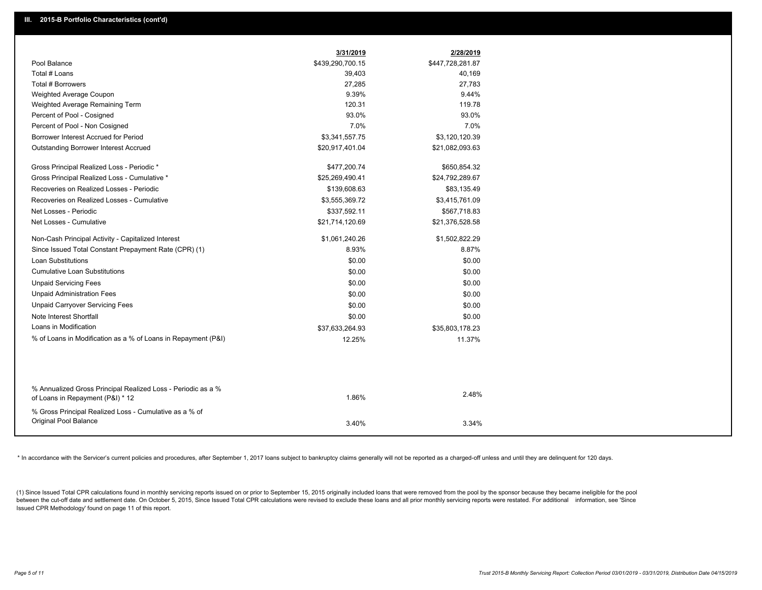|                                                                                 | 3/31/2019        | 2/28/2019        |
|---------------------------------------------------------------------------------|------------------|------------------|
| Pool Balance                                                                    | \$439,290,700.15 | \$447,728,281.87 |
| Total # Loans                                                                   | 39,403           | 40,169           |
| Total # Borrowers                                                               | 27,285           | 27,783           |
| Weighted Average Coupon                                                         | 9.39%            | 9.44%            |
| Weighted Average Remaining Term                                                 | 120.31           | 119.78           |
| Percent of Pool - Cosigned                                                      | 93.0%            | 93.0%            |
| Percent of Pool - Non Cosigned                                                  | 7.0%             | 7.0%             |
| Borrower Interest Accrued for Period                                            | \$3,341,557.75   | \$3,120,120.39   |
| <b>Outstanding Borrower Interest Accrued</b>                                    | \$20,917,401.04  | \$21,082,093.63  |
| Gross Principal Realized Loss - Periodic *                                      | \$477,200.74     | \$650,854.32     |
| Gross Principal Realized Loss - Cumulative *                                    | \$25,269,490.41  | \$24,792,289.67  |
| Recoveries on Realized Losses - Periodic                                        | \$139,608.63     | \$83,135.49      |
| Recoveries on Realized Losses - Cumulative                                      | \$3,555,369.72   | \$3,415,761.09   |
| Net Losses - Periodic                                                           | \$337,592.11     | \$567,718.83     |
| Net Losses - Cumulative                                                         | \$21,714,120.69  | \$21,376,528.58  |
| Non-Cash Principal Activity - Capitalized Interest                              | \$1,061,240.26   | \$1,502,822.29   |
| Since Issued Total Constant Prepayment Rate (CPR) (1)                           | 8.93%            | 8.87%            |
| <b>Loan Substitutions</b>                                                       | \$0.00           | \$0.00           |
| <b>Cumulative Loan Substitutions</b>                                            | \$0.00           | \$0.00           |
| <b>Unpaid Servicing Fees</b>                                                    | \$0.00           | \$0.00           |
| <b>Unpaid Administration Fees</b>                                               | \$0.00           | \$0.00           |
| <b>Unpaid Carryover Servicing Fees</b>                                          | \$0.00           | \$0.00           |
| Note Interest Shortfall                                                         | \$0.00           | \$0.00           |
| Loans in Modification                                                           | \$37,633,264.93  | \$35,803,178.23  |
| % of Loans in Modification as a % of Loans in Repayment (P&I)                   | 12.25%           | 11.37%           |
|                                                                                 |                  |                  |
| % Annualized Gross Principal Realized Loss - Periodic as a %                    |                  |                  |
| of Loans in Repayment (P&I) * 12                                                | 1.86%            | 2.48%            |
| % Gross Principal Realized Loss - Cumulative as a % of<br>Original Pool Balance |                  |                  |
|                                                                                 | 3.40%            | 3.34%            |

\* In accordance with the Servicer's current policies and procedures, after September 1, 2017 loans subject to bankruptcy claims generally will not be reported as a charged-off unless and until they are delinquent for 120 d

(1) Since Issued Total CPR calculations found in monthly servicing reports issued on or prior to September 15, 2015 originally included loans that were removed from the pool by the sponsor because they became ineligible fo between the cut-off date and settlement date. On October 5, 2015, Since Issued Total CPR calculations were revised to exclude these loans and all prior monthly servicing reports were restated. For additional information, s Issued CPR Methodology' found on page 11 of this report.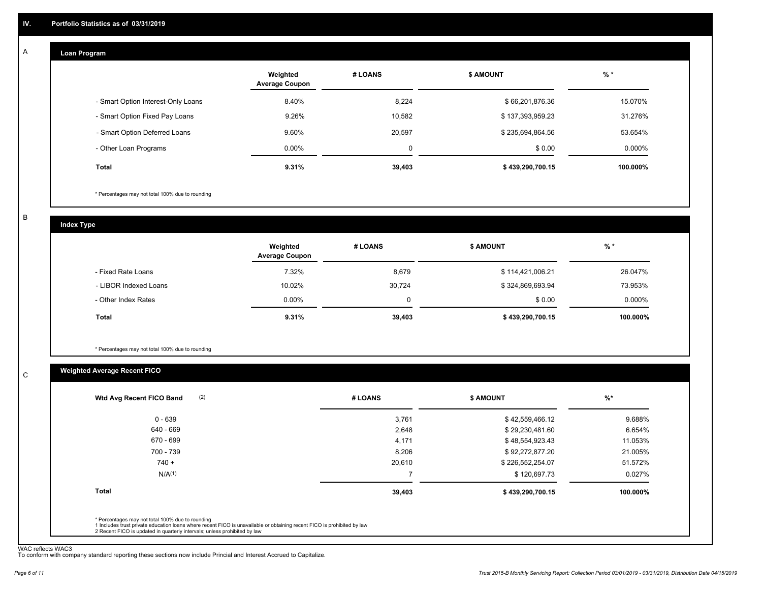#### **Loan Program**  A

|                                    | Weighted<br><b>Average Coupon</b> | # LOANS     | <b>\$ AMOUNT</b> | $%$ *     |
|------------------------------------|-----------------------------------|-------------|------------------|-----------|
| - Smart Option Interest-Only Loans | 8.40%                             | 8.224       | \$66,201,876.36  | 15.070%   |
| - Smart Option Fixed Pay Loans     | 9.26%                             | 10,582      | \$137,393,959.23 | 31.276%   |
| - Smart Option Deferred Loans      | 9.60%                             | 20.597      | \$235,694,864.56 | 53.654%   |
| - Other Loan Programs              | $0.00\%$                          | $\mathbf 0$ | \$0.00           | $0.000\%$ |
| <b>Total</b>                       | 9.31%                             | 39,403      | \$439,290,700.15 | 100.000%  |

\* Percentages may not total 100% due to rounding

B

C

**Index Type**

|                       | Weighted<br><b>Average Coupon</b> | # LOANS     | <b>\$ AMOUNT</b> | $%$ *     |
|-----------------------|-----------------------------------|-------------|------------------|-----------|
| - Fixed Rate Loans    | 7.32%                             | 8,679       | \$114,421,006.21 | 26.047%   |
| - LIBOR Indexed Loans | 10.02%                            | 30,724      | \$324,869,693.94 | 73.953%   |
| - Other Index Rates   | $0.00\%$                          | $\mathbf 0$ | \$0.00           | $0.000\%$ |
| <b>Total</b>          | 9.31%                             | 39,403      | \$439,290,700.15 | 100.000%  |

\* Percentages may not total 100% due to rounding

## **Weighted Average Recent FICO**

| 0 - 639<br>640 - 669<br>670 - 699<br>700 - 739 | 3,761<br>2,648<br>4,171 | \$42,559,466.12<br>\$29,230,481.60<br>\$48,554,923.43 | 9.688%<br>6.654% |
|------------------------------------------------|-------------------------|-------------------------------------------------------|------------------|
|                                                |                         |                                                       |                  |
|                                                |                         |                                                       |                  |
|                                                |                         |                                                       | 11.053%          |
|                                                | 8,206                   | \$92,272,877.20                                       | 21.005%          |
| $740 +$                                        | 20,610                  | \$226,552,254.07                                      | 51.572%          |
| N/A <sup>(1)</sup>                             |                         | \$120,697.73                                          | 0.027%           |
| Total                                          | 39,403                  | \$439,290,700.15                                      | 100.000%         |

WAC reflects WAC3 To conform with company standard reporting these sections now include Princial and Interest Accrued to Capitalize.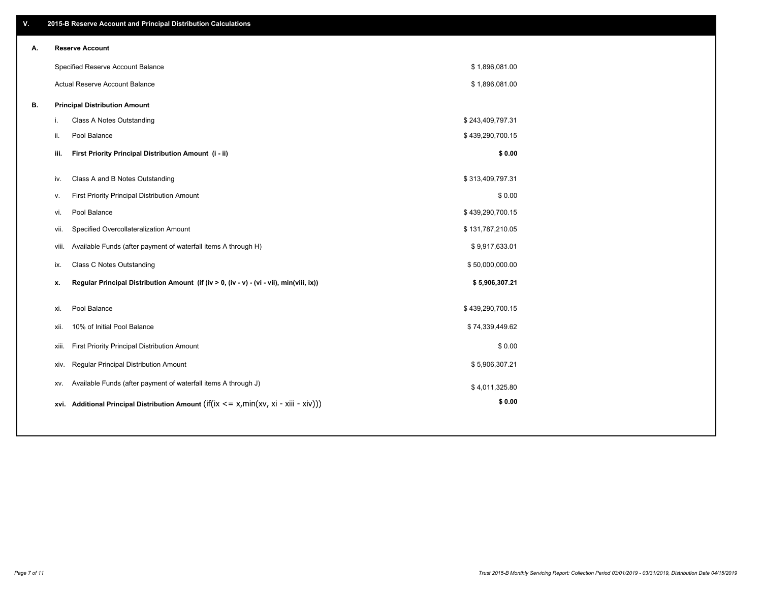| ۷. |       | 2015-B Reserve Account and Principal Distribution Calculations                             |                  |  |
|----|-------|--------------------------------------------------------------------------------------------|------------------|--|
| А. |       | <b>Reserve Account</b>                                                                     |                  |  |
|    |       | Specified Reserve Account Balance                                                          | \$1,896,081.00   |  |
|    |       | Actual Reserve Account Balance                                                             | \$1,896,081.00   |  |
| В. |       | <b>Principal Distribution Amount</b>                                                       |                  |  |
|    | j.    | Class A Notes Outstanding                                                                  | \$243,409,797.31 |  |
|    | ii.   | Pool Balance                                                                               | \$439,290,700.15 |  |
|    | iii.  | First Priority Principal Distribution Amount (i - ii)                                      | \$0.00           |  |
|    |       |                                                                                            |                  |  |
|    | iv.   | Class A and B Notes Outstanding                                                            | \$313,409,797.31 |  |
|    | v.    | First Priority Principal Distribution Amount                                               | \$0.00           |  |
|    | vi.   | Pool Balance                                                                               | \$439,290,700.15 |  |
|    | vii.  | Specified Overcollateralization Amount                                                     | \$131,787,210.05 |  |
|    | viii. | Available Funds (after payment of waterfall items A through H)                             | \$9,917,633.01   |  |
|    | ix.   | <b>Class C Notes Outstanding</b>                                                           | \$50,000,000.00  |  |
|    | х.    | Regular Principal Distribution Amount (if (iv > 0, (iv - v) - (vi - vii), min(viii, ix))   | \$5,906,307.21   |  |
|    | xi.   | Pool Balance                                                                               | \$439,290,700.15 |  |
|    | xii.  | 10% of Initial Pool Balance                                                                | \$74,339,449.62  |  |
|    | xiii. | First Priority Principal Distribution Amount                                               | \$0.00           |  |
|    |       |                                                                                            |                  |  |
|    |       | Regular Principal Distribution Amount<br>XIV.                                              | \$5,906,307.21   |  |
|    | XV.   | Available Funds (after payment of waterfall items A through J)                             | \$4,011,325.80   |  |
|    |       | xvi. Additional Principal Distribution Amount (if(ix $\lt$ = x, min(xv, xi - xiii - xiv))) | \$0.00           |  |
|    |       |                                                                                            |                  |  |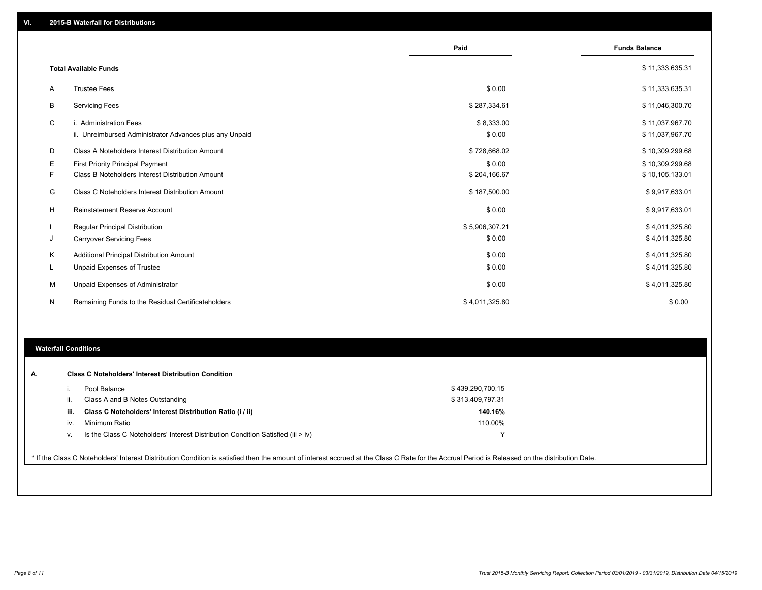|   |                                                         | Paid           | <b>Funds Balance</b> |
|---|---------------------------------------------------------|----------------|----------------------|
|   | <b>Total Available Funds</b>                            |                | \$11,333,635.31      |
| Α | <b>Trustee Fees</b>                                     | \$0.00         | \$11,333,635.31      |
| В | <b>Servicing Fees</b>                                   | \$287,334.61   | \$11,046,300.70      |
| C | i. Administration Fees                                  | \$8,333.00     | \$11,037,967.70      |
|   | ii. Unreimbursed Administrator Advances plus any Unpaid | \$0.00         | \$11,037,967.70      |
| D | Class A Noteholders Interest Distribution Amount        | \$728,668.02   | \$10,309,299.68      |
| Ε | <b>First Priority Principal Payment</b>                 | \$0.00         | \$10,309,299.68      |
| F | Class B Noteholders Interest Distribution Amount        | \$204,166.67   | \$10,105,133.01      |
| G | Class C Noteholders Interest Distribution Amount        | \$187,500.00   | \$9,917,633.01       |
| H | Reinstatement Reserve Account                           | \$0.00         | \$9,917,633.01       |
|   | <b>Regular Principal Distribution</b>                   | \$5,906,307.21 | \$4,011,325.80       |
| J | <b>Carryover Servicing Fees</b>                         | \$0.00         | \$4,011,325.80       |
| Κ | Additional Principal Distribution Amount                | \$0.00         | \$4,011,325.80       |
| L | <b>Unpaid Expenses of Trustee</b>                       | \$0.00         | \$4,011,325.80       |
| м | Unpaid Expenses of Administrator                        | \$0.00         | \$4,011,325.80       |
| N | Remaining Funds to the Residual Certificateholders      | \$4,011,325.80 | \$0.00               |
|   |                                                         |                |                      |

# **Waterfall Conditions**

| А. |      | <b>Class C Noteholders' Interest Distribution Condition</b>                                                                                                                                     |                  |  |
|----|------|-------------------------------------------------------------------------------------------------------------------------------------------------------------------------------------------------|------------------|--|
|    |      | Pool Balance                                                                                                                                                                                    | \$439,290,700.15 |  |
|    | ii.  | Class A and B Notes Outstanding                                                                                                                                                                 | \$313,409,797.31 |  |
|    | iii. | Class C Noteholders' Interest Distribution Ratio (i / ii)                                                                                                                                       | 140.16%          |  |
|    | iv.  | Minimum Ratio                                                                                                                                                                                   | 110.00%          |  |
|    | V.   | Is the Class C Noteholders' Interest Distribution Condition Satisfied (iii > iv)                                                                                                                |                  |  |
|    |      | * If the Class C Noteholders' Interest Distribution Condition is satisfied then the amount of interest accrued at the Class C Rate for the Accrual Period is Released on the distribution Date. |                  |  |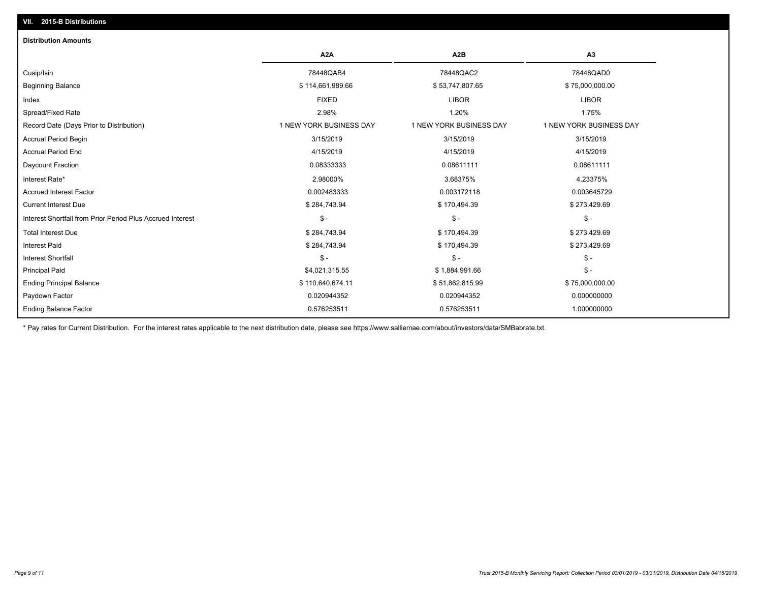| 2015-B Distributions<br>VII.                               |                         |                         |                         |
|------------------------------------------------------------|-------------------------|-------------------------|-------------------------|
| <b>Distribution Amounts</b>                                |                         |                         |                         |
|                                                            | A <sub>2</sub> A        | A <sub>2</sub> B        | A <sub>3</sub>          |
| Cusip/Isin                                                 | 78448QAB4               | 78448QAC2               | 78448QAD0               |
| <b>Beginning Balance</b>                                   | \$114,661,989.66        | \$53,747,807.65         | \$75,000,000.00         |
| Index                                                      | <b>FIXED</b>            | <b>LIBOR</b>            | <b>LIBOR</b>            |
| Spread/Fixed Rate                                          | 2.98%                   | 1.20%                   | 1.75%                   |
| Record Date (Days Prior to Distribution)                   | 1 NEW YORK BUSINESS DAY | 1 NEW YORK BUSINESS DAY | 1 NEW YORK BUSINESS DAY |
| Accrual Period Begin                                       | 3/15/2019               | 3/15/2019               | 3/15/2019               |
| <b>Accrual Period End</b>                                  | 4/15/2019               | 4/15/2019               | 4/15/2019               |
| Daycount Fraction                                          | 0.08333333              | 0.08611111              | 0.08611111              |
| Interest Rate*                                             | 2.98000%                | 3.68375%                | 4.23375%                |
| <b>Accrued Interest Factor</b>                             | 0.002483333             | 0.003172118             | 0.003645729             |
| <b>Current Interest Due</b>                                | \$284,743.94            | \$170,494.39            | \$273,429.69            |
| Interest Shortfall from Prior Period Plus Accrued Interest | $\mathsf{\$}$ -         | $$ -$                   | $\mathsf{\$}$ -         |
| <b>Total Interest Due</b>                                  | \$284,743.94            | \$170,494.39            | \$273,429.69            |
| <b>Interest Paid</b>                                       | \$284,743.94            | \$170,494.39            | \$273,429.69            |
| <b>Interest Shortfall</b>                                  | $\mathsf{\$}$ -         | $$ -$                   | $$ -$                   |
| <b>Principal Paid</b>                                      | \$4,021,315.55          | \$1,884,991.66          | $\mathsf{\$}$ -         |
| <b>Ending Principal Balance</b>                            | \$110,640,674.11        | \$51,862,815.99         | \$75,000,000.00         |
| Paydown Factor                                             | 0.020944352             | 0.020944352             | 0.000000000             |
| <b>Ending Balance Factor</b>                               | 0.576253511             | 0.576253511             | 1.000000000             |

\* Pay rates for Current Distribution. For the interest rates applicable to the next distribution date, please see https://www.salliemae.com/about/investors/data/SMBabrate.txt.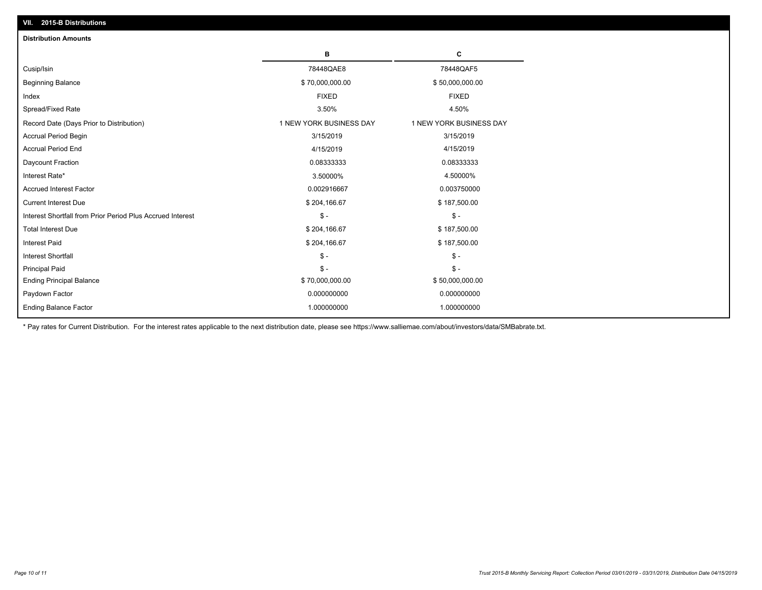| <b>Distribution Amounts</b>                                |                         |                         |
|------------------------------------------------------------|-------------------------|-------------------------|
|                                                            | в                       | C                       |
| Cusip/Isin                                                 | 78448QAE8               | 78448QAF5               |
| <b>Beginning Balance</b>                                   | \$70,000,000.00         | \$50,000,000.00         |
| Index                                                      | <b>FIXED</b>            | <b>FIXED</b>            |
| Spread/Fixed Rate                                          | 3.50%                   | 4.50%                   |
| Record Date (Days Prior to Distribution)                   | 1 NEW YORK BUSINESS DAY | 1 NEW YORK BUSINESS DAY |
| <b>Accrual Period Begin</b>                                | 3/15/2019               | 3/15/2019               |
| <b>Accrual Period End</b>                                  | 4/15/2019               | 4/15/2019               |
| Daycount Fraction                                          | 0.08333333              | 0.08333333              |
| Interest Rate*                                             | 3.50000%                | 4.50000%                |
| <b>Accrued Interest Factor</b>                             | 0.002916667             | 0.003750000             |
| <b>Current Interest Due</b>                                | \$204,166.67            | \$187,500.00            |
| Interest Shortfall from Prior Period Plus Accrued Interest | $\mathsf{\$}$ -         | $\mathsf{\$}$ -         |
| <b>Total Interest Due</b>                                  | \$204,166.67            | \$187,500.00            |
| Interest Paid                                              | \$204,166.67            | \$187,500.00            |
| <b>Interest Shortfall</b>                                  | $\mathsf{\$}$ -         | $\mathsf{\$}$ -         |
| <b>Principal Paid</b>                                      | $\mathsf{\$}$ -         | $$ -$                   |
| <b>Ending Principal Balance</b>                            | \$70,000,000.00         | \$50,000,000.00         |
| Paydown Factor                                             | 0.000000000             | 0.000000000             |
| <b>Ending Balance Factor</b>                               | 1.000000000             | 1.000000000             |

\* Pay rates for Current Distribution. For the interest rates applicable to the next distribution date, please see https://www.salliemae.com/about/investors/data/SMBabrate.txt.

**VII. 2015-B Distributions**